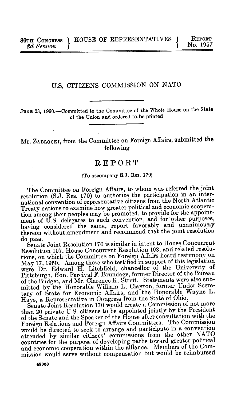## U.S. CITIZENS COMMISSION ON NATO

JUNE 23, 1960.--Committed to the Committee of the Whole House on the State of the Union and ordered to be printed

## Mr. ZABLOCKI, from the Committee on Foreign Affairs, submitted the following

## REPORT

## [To accompany S.J. Res. 170]

The Committee on Foreign Affairs, to whom was referred the joint resolution (S.J. Res. 170) to authorize the participation in an international convention of representative citizens from the North Atlantic Treaty nations to examine how greater political and economic cooperation among their peoples may be promoted, to provide for the appointment of U.S. delegates to such convention, and for other purposes, having considered the same, report favorably and unanimously thereon without amendment and recommend that the joint resolution do pass.

Senate Joint Resolution 170 is similar in intent to House Concurrent Resolution 107, House Concurrent Resolution 108, and related resolutions, on which the Committee on Foreign Affairs heard testimony on May 17, 1960. Among those who testified in support of this legislation were Dr. Edward H. Litchfield, chancellor of the University of Pittsburgh, Hon. Percival F. Brundage, former Director of the Bureau of the Budget, and Mr. Clarence K. Streit. Statements were also submitted by the Honorable William L. Clayton, former Under Secretary of State for Economic Affairs, and the Honorable Wayne L. Hays, a Representative in Congress from the State of Ohio.

Senate Joint Resolution 170 would create a Commission of not more than 20 private U.S. citizens to be appointed jointly by the President of the Senate and the Speaker of the House after consultation with the Foreign Relations and Foreign Affairs Committees. The Commission would be directed to seek to arrange and participate in a convention attended by similar citizens' commissions from the other NATO countries for the purpose of developing paths toward greater political and economic cooperation within the alliance. Members of the Commission would serve without compensation but would be reimbursed

**49006**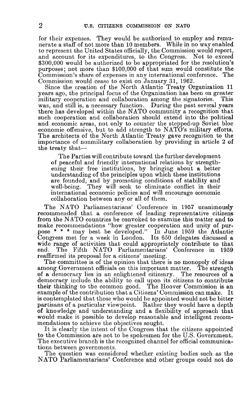for their expenses. They would be authorized to employ and remunerate a staff of not more than 10 members. While in no way enabled to represent the United States officially, the Commission would report, and account for its expenditures, to the Congress. Not to exceed \$300,000 would be authorized to be appropriated for the resolution's purposes; not more than \$100,000 of that sum would constitute the Commission's share of expenses in any international conference. The Commission would cease to exist on January 31, 1962.

Since the creation of the North Atlantic Treaty Organization 11 years ago, the principal focus of the Organization has been on greater military cooperation and collaboration among the signatories. This was, and still is, a necessary function. During the past several years there has developed within the NATO community a recognition that such cooperation and collaboration should extend into the political and economic areas, not only to counter the stepped-up Soviet bloc economic offensive, but to add strength to NATO's military efforts. The architects of the North Atlantic Treaty gave recognition to the importance of nonmilitary collaboration by providing in article 2 of the treaty that-

The Parties will contribute toward the further development of peaceful and friendly international relations by strengthening their free institutions, by bringing about a better understanding of the principles upon which these institutions are founded, and by promoting conditions of stability and well-being. They will seek to eliminate conflict in their They will seek to eliminate conflict in their international economic policies and will encourage economic collaboration between any or all of them.

The NATO Parliamentarians' Conference in 1957 unanimously recommended that a conference of leading representative citizens from the NATO countries be convoked to examine this matter and to make recommendations "how greater cooperation and unity of purpose \* \* \* may best be developed." In June 1959 the Atlantic Congress met for a week in London. Its 650 delegates discussed a wide range of activities that could appropriately contribute to that end. The Fifth NATO Parliamentarians' Conference in 1959 reaffirmed its proposal for a citizens' meeting.

The committee is of the opinion that there is no monopoly of ideas among Government officials on this important matter. The strength of a democracy lies in an enlightened citizenry. The resources of a democracy include the ability to call upon its citizens to contribute their thinking to the common good. The Hoover Commission is an example of the contribution that a Citizens' Commission can make. It is contemplated that those who would be appointed would not be bitter partisans of a particular viewpoint. Rather they would have a depth of knowledge and understanding and a flexibility of approach that would make it possible to develop reasonable and intelligent recommendations to achieve the objectives sought.

It is clearly the intent of the Congress that the citizens appointed to the Commission are not to be spokesmen for the U.S. Government. The executive branch is the recognized channel for official communications between governments.

The question was considered whether existing bodies such as the NATO Parliamentarians' Conference and other groups could not do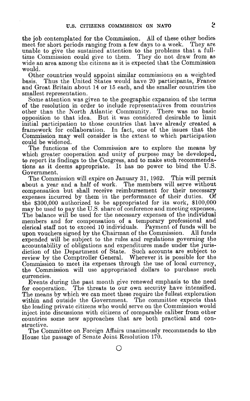the **job** contemplated for the Commission. All of these other bodies meet for short periods ranging from a few days to a week. They are unable to give the sustained attention to the problems that a fulltime Commission could give to them. They do not draw from as wide an area among the citizens as it is expected that the Commission would.

Other countries would appoint similar commissions on a weighted basis. Thus the United States would have 20 participants, France Thus the United States would have 20 participants, France and Great Britain about 14 or 15 each, and the smaller countries the smallest representation.

Some attention was given to the geographic expansion of the terms of the resolution in order to include representatives from countries other than the North Atlantic Community. There was no basic opposition to that idea. But it was considered desirable to limit initial participation to those countries that have already created a framework for collaboration. In fact, one of the issues that the Commission may well consider is the extent to which participation could be widened.

The functions of the Commission are to explore the means **by** which greater cooperation and unity of purpose may be developed, to report its findings to the Congress, and to make such recommendations as it deems appropriate. It has no power to bind the U.S. Government.

The Commission will expire on January 31, 1962. This will permit about a year and a half of work. The members will serve without compensation but shall receive reimbursement for their necessary<br>expenses incurred by them in the performance of their duties. Of expenses incurred by them in the performance of their duties. the \$300,000 authorized to be appropriated for its work, \$100,000 may be used to pay the U.S. share of conference and meeting expenses. The balance will be used for the necessary expenses of the individual members and for compensation of a temporary professional and clerical staff not to exceed 10 individuals. Payment of funds will be upon vouchers signed by the Chairman of the Commission. All funds expended will be subject to the rules and regulations governing the accountability of obligations and expenditures made under the jurisdiction of the Department of State. Such accounts are subject to review by the Comptroller General. Wherever it is possible for the Commission to meet its expenses through the use of local currency, the Commission will use appropriated dollars to purchase such currencies.

Events during the past month give renewed emphasis to the need for cooperation. The threats to our own security have intensified. The means by which we can meet these require the fullest exploration within and outside the Government. The committee expects that the leading private citizens who would serve on the Commission would inject into discussions with citizens of comparable caliber from other countries some new approaches that are both practical and constructive.

The Committee on Foreign Affairs unanimously recommends to the House the passage of Senate Joint Resolution 170.